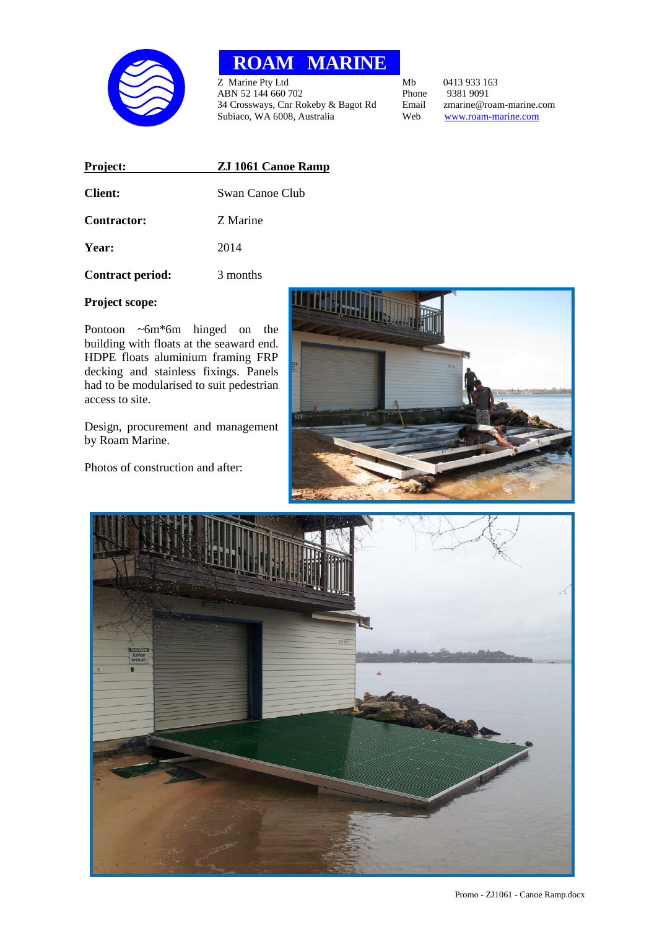

## **ROAM MARINE**

Z Marine Pty Ltd<br>
ABN 52 144 660 702<br>
ABN 52 144 660 702<br>
Phone 9381 9091 ABN 52 144 660 702<br>
34 Crossways, Cnr Rokeby & Bagot Rd
Bmail
2 marine@roam-marine.com 34 Crossways, Cnr Rokeby & Bagot Rd Email zmarine@roam-marine.com<br>Subiaco, WA 6008, Australia Web www.roam-marine.com Subiaco, WA 6008, Australia

| Project:                | <b>ZJ 1061 Canoe Ramp</b> |
|-------------------------|---------------------------|
| <b>Client:</b>          | Swan Canoe Club           |
| <b>Contractor:</b>      | Z Marine                  |
| Year:                   | 2014                      |
| <b>Contract period:</b> | 3 months                  |

## **Project scope:**

Pontoon ~6m\*6m hinged on the building with floats at the seaward end. HDPE floats aluminium framing FRP decking and stainless fixings. Panels had to be modularised to suit pedestrian access to site.

Design, procurement and management by Roam Marine.

Photos of construction and after: